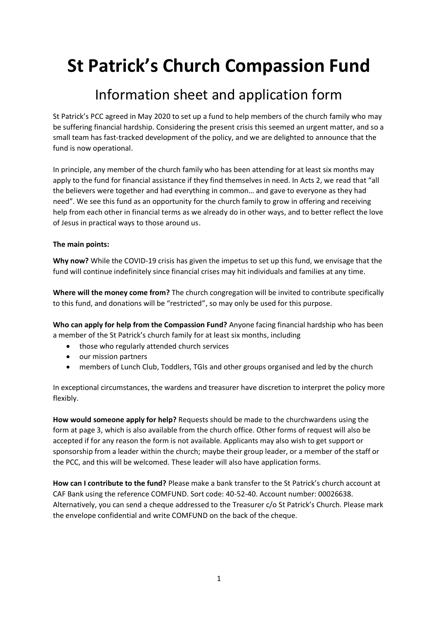# **St Patrick's Church Compassion Fund**

### Information sheet and application form

St Patrick's PCC agreed in May 2020 to set up a fund to help members of the church family who may be suffering financial hardship. Considering the present crisis this seemed an urgent matter, and so a small team has fast-tracked development of the policy, and we are delighted to announce that the fund is now operational.

In principle, any member of the church family who has been attending for at least six months may apply to the fund for financial assistance if they find themselves in need. In Acts 2, we read that "all the believers were together and had everything in common… and gave to everyone as they had need". We see this fund as an opportunity for the church family to grow in offering and receiving help from each other in financial terms as we already do in other ways, and to better reflect the love of Jesus in practical ways to those around us.

#### **The main points:**

**Why now?** While the COVID-19 crisis has given the impetus to set up this fund, we envisage that the fund will continue indefinitely since financial crises may hit individuals and families at any time.

**Where will the money come from?** The church congregation will be invited to contribute specifically to this fund, and donations will be "restricted", so may only be used for this purpose.

**Who can apply for help from the Compassion Fund?** Anyone facing financial hardship who has been a member of the St Patrick's church family for at least six months, including

- those who regularly attended church services
- our mission partners
- members of Lunch Club, Toddlers, TGIs and other groups organised and led by the church

In exceptional circumstances, the wardens and treasurer have discretion to interpret the policy more flexibly.

**How would someone apply for help?** Requests should be made to the churchwardens using the form at page 3, which is also available from the church office. Other forms of request will also be accepted if for any reason the form is not available. Applicants may also wish to get support or sponsorship from a leader within the church; maybe their group leader, or a member of the staff or the PCC, and this will be welcomed. These leader will also have application forms.

**How can I contribute to the fund?** Please make a bank transfer to the St Patrick's church account at CAF Bank using the reference COMFUND. Sort code: 40-52-40. Account number: 00026638. Alternatively, you can send a cheque addressed to the Treasurer c/o St Patrick's Church. Please mark the envelope confidential and write COMFUND on the back of the cheque.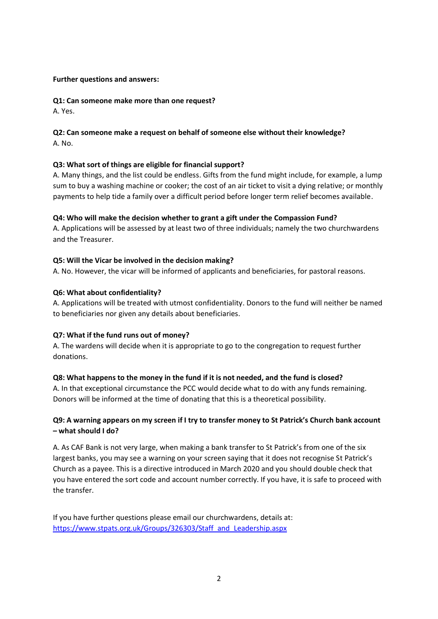#### **Further questions and answers:**

#### **Q1: Can someone make more than one request?**

A. Yes.

#### **Q2: Can someone make a request on behalf of someone else without their knowledge?** A. No.

#### **Q3: What sort of things are eligible for financial support?**

A. Many things, and the list could be endless. Gifts from the fund might include, for example, a lump sum to buy a washing machine or cooker; the cost of an air ticket to visit a dying relative; or monthly payments to help tide a family over a difficult period before longer term relief becomes available.

#### **Q4: Who will make the decision whether to grant a gift under the Compassion Fund?**

A. Applications will be assessed by at least two of three individuals; namely the two churchwardens and the Treasurer.

#### **Q5: Will the Vicar be involved in the decision making?**

A. No. However, the vicar will be informed of applicants and beneficiaries, for pastoral reasons.

#### **Q6: What about confidentiality?**

A. Applications will be treated with utmost confidentiality. Donors to the fund will neither be named to beneficiaries nor given any details about beneficiaries.

#### **Q7: What if the fund runs out of money?**

A. The wardens will decide when it is appropriate to go to the congregation to request further donations.

#### **Q8: What happens to the money in the fund if it is not needed, and the fund is closed?**

A. In that exceptional circumstance the PCC would decide what to do with any funds remaining. Donors will be informed at the time of donating that this is a theoretical possibility.

#### **Q9: A warning appears on my screen if I try to transfer money to St Patrick's Church bank account – what should I do?**

A. As CAF Bank is not very large, when making a bank transfer to St Patrick's from one of the six largest banks, you may see a warning on your screen saying that it does not recognise St Patrick's Church as a payee. This is a directive introduced in March 2020 and you should double check that you have entered the sort code and account number correctly. If you have, it is safe to proceed with the transfer.

If you have further questions please email our churchwardens, details at: [https://www.stpats.org.uk/Groups/326303/Staff\\_and\\_Leadership.aspx](https://www.stpats.org.uk/Groups/326303/Staff_and_Leadership.aspx)